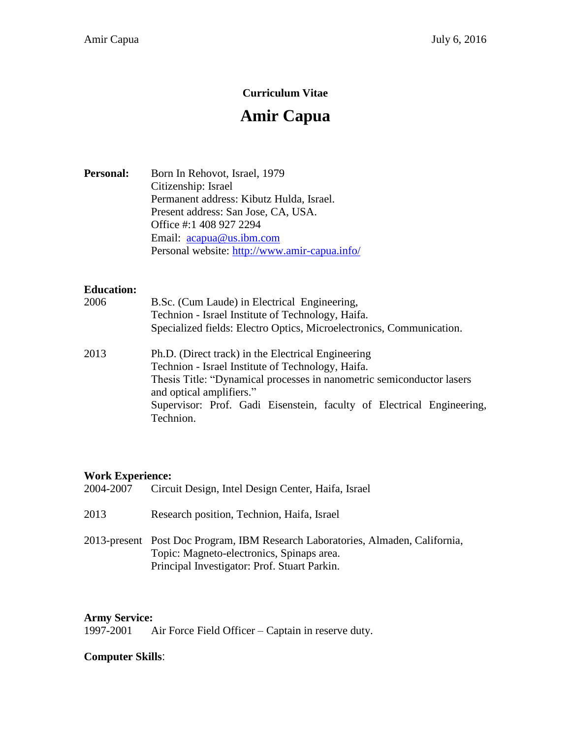## **Curriculum Vitae**

# **Amir Capua**

Personal: Born In Rehovot, Israel, 1979 Citizenship: Israel Permanent address: Kibutz Hulda, Israel. Present address: San Jose, CA, USA. Office #:1 408 927 2294 Email: [acapua@us.ibm.com](mailto:acapua@us.ibm.com) Personal website:<http://www.amir-capua.info/>

## **Education:**

| 2006 | B.Sc. (Cum Laude) in Electrical Engineering,                                                                                                                                                                 |
|------|--------------------------------------------------------------------------------------------------------------------------------------------------------------------------------------------------------------|
|      | Technion - Israel Institute of Technology, Haifa.                                                                                                                                                            |
|      | Specialized fields: Electro Optics, Microelectronics, Communication.                                                                                                                                         |
| 2013 | Ph.D. (Direct track) in the Electrical Engineering<br>Technion - Israel Institute of Technology, Haifa.<br>Thesis Title: "Dynamical processes in nanometric semiconductor lasers<br>and optical amplifiers." |
|      | Supervisor: Prof. Gadi Eisenstein, faculty of Electrical Engineering,<br>Technion.                                                                                                                           |
|      |                                                                                                                                                                                                              |

#### **Work Experience:**

| 2004-2007 | Circuit Design, Intel Design Center, Haifa, Israel                                                                                                                          |
|-----------|-----------------------------------------------------------------------------------------------------------------------------------------------------------------------------|
| 2013      | Research position, Technion, Haifa, Israel                                                                                                                                  |
|           | 2013-present Post Doc Program, IBM Research Laboratories, Almaden, California,<br>Topic: Magneto-electronics, Spinaps area.<br>Principal Investigator: Prof. Stuart Parkin. |

## **Army Service:**

1997-2001 Air Force Field Officer – Captain in reserve duty.

#### **Computer Skills**: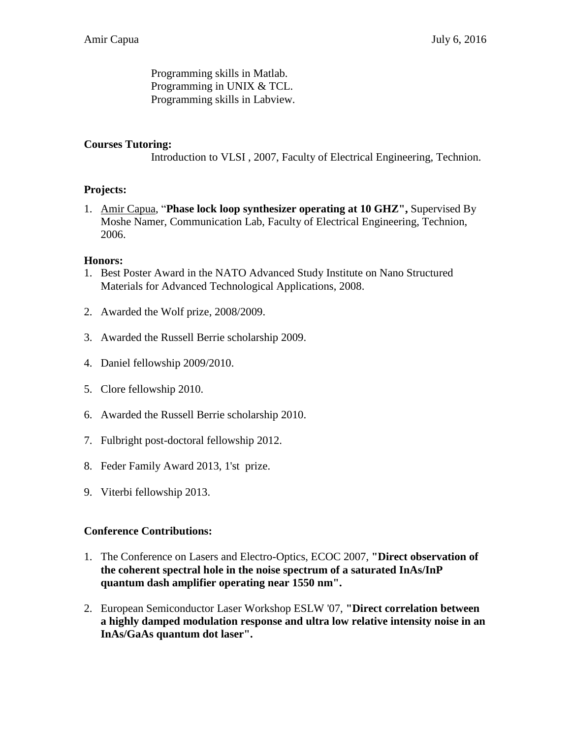Programming skills in Matlab. Programming in UNIX & TCL. Programming skills in Labview.

## **Courses Tutoring:**

Introduction to VLSI , 2007, Faculty of Electrical Engineering, Technion.

## **Projects:**

1. Amir Capua, "**Phase lock loop synthesizer operating at 10 GHZ",** Supervised By Moshe Namer, Communication Lab, Faculty of Electrical Engineering, Technion, 2006.

## **Honors:**

- 1. Best Poster Award in the NATO Advanced Study Institute on Nano Structured Materials for Advanced Technological Applications, 2008.
- 2. Awarded the Wolf prize, 2008/2009.
- 3. Awarded the Russell Berrie scholarship 2009.
- 4. Daniel fellowship 2009/2010.
- 5. Clore fellowship 2010.
- 6. Awarded the Russell Berrie scholarship 2010.
- 7. Fulbright post-doctoral fellowship 2012.
- 8. Feder Family Award 2013, 1'st prize.
- 9. Viterbi fellowship 2013.

#### **Conference Contributions:**

- 1. The Conference on Lasers and Electro-Optics, ECOC 2007, **"Direct observation of the coherent spectral hole in the noise spectrum of a saturated InAs/InP quantum dash amplifier operating near 1550 nm".**
- 2. European Semiconductor Laser Workshop ESLW '07, **"Direct correlation between a highly damped modulation response and ultra low relative intensity noise in an InAs/GaAs quantum dot laser".**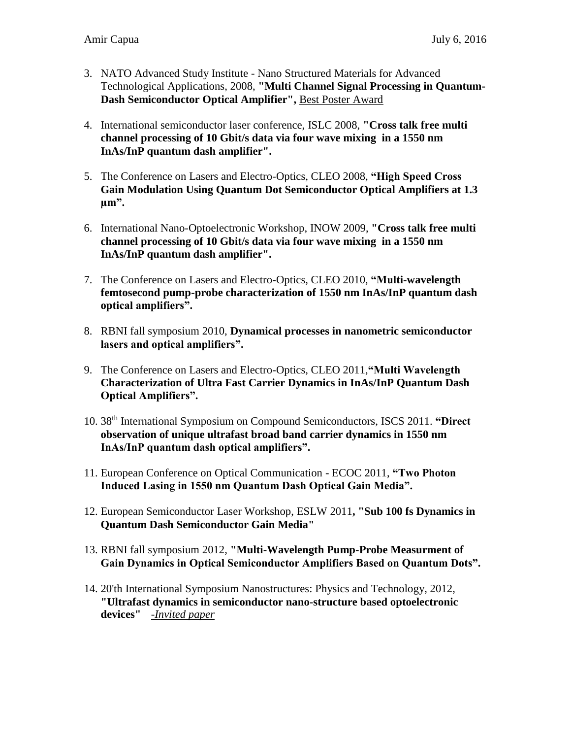- 3. NATO Advanced Study Institute Nano Structured Materials for Advanced Technological Applications, 2008, **"Multi Channel Signal Processing in Quantum-Dash Semiconductor Optical Amplifier",** Best Poster Award
- 4. International semiconductor laser conference, ISLC 2008, **"Cross talk free multi channel processing of 10 Gbit/s data via four wave mixing in a 1550 nm InAs/InP quantum dash amplifier".**
- 5. The Conference on Lasers and Electro-Optics, CLEO 2008, **"High Speed Cross Gain Modulation Using Quantum Dot Semiconductor Optical Amplifiers at 1.3 µm".**
- 6. International Nano-Optoelectronic Workshop, INOW 2009, **"Cross talk free multi channel processing of 10 Gbit/s data via four wave mixing in a 1550 nm InAs/InP quantum dash amplifier".**
- 7. The Conference on Lasers and Electro-Optics, CLEO 2010, **"Multi-wavelength femtosecond pump-probe characterization of 1550 nm InAs/InP quantum dash optical amplifiers".**
- 8. RBNI fall symposium 2010, **Dynamical processes in nanometric semiconductor lasers and optical amplifiers".**
- 9. The Conference on Lasers and Electro-Optics, CLEO 2011,**"Multi Wavelength Characterization of Ultra Fast Carrier Dynamics in InAs/InP Quantum Dash Optical Amplifiers".**
- 10. 38th International Symposium on Compound Semiconductors, ISCS 2011. **"Direct observation of unique ultrafast broad band carrier dynamics in 1550 nm InAs/InP quantum dash optical amplifiers".**
- 11. European Conference on Optical Communication ECOC 2011, **"Two Photon Induced Lasing in 1550 nm Quantum Dash Optical Gain Media".**
- 12. European Semiconductor Laser Workshop, ESLW 2011**, "Sub 100 fs Dynamics in Quantum Dash Semiconductor Gain Media"**
- 13. RBNI fall symposium 2012, **"Multi-Wavelength Pump-Probe Measurment of Gain Dynamics in Optical Semiconductor Amplifiers Based on Quantum Dots".**
- 14. 20'th International Symposium Nanostructures: Physics and Technology, 2012, **"Ultrafast dynamics in semiconductor nano-structure based optoelectronic devices"** -*Invited paper*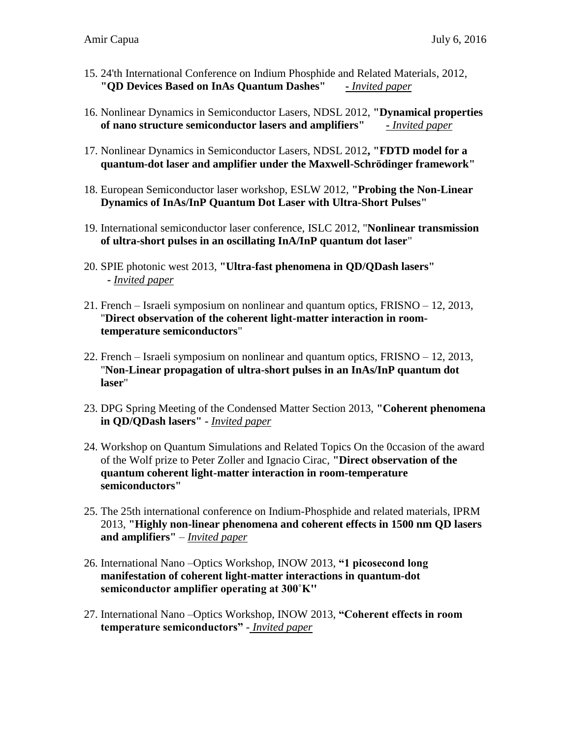- 15. 24'th International Conference on Indium Phosphide and Related Materials, 2012, **"QD Devices Based on InAs Quantum Dashes" -** *Invited paper*
- 16. Nonlinear Dynamics in Semiconductor Lasers, NDSL 2012, **"Dynamical properties of nano structure semiconductor lasers and amplifiers" -** *Invited paper*
- 17. Nonlinear Dynamics in Semiconductor Lasers, NDSL 2012**, "FDTD model for a quantum-dot laser and amplifier under the Maxwell-Schrödinger framework"**
- 18. European Semiconductor laser workshop, ESLW 2012, **"Probing the Non-Linear Dynamics of InAs/InP Quantum Dot Laser with Ultra-Short Pulses"**
- 19. International semiconductor laser conference, ISLC 2012, "**Nonlinear transmission of ultra-short pulses in an oscillating InA/InP quantum dot laser**"
- 20. SPIE photonic west 2013, **"Ultra-fast phenomena in QD/QDash lasers" -** *Invited paper*
- 21. French Israeli symposium on nonlinear and quantum optics, FRISNO 12, 2013, "**Direct observation of the coherent light-matter interaction in roomtemperature semiconductors**"
- 22. French Israeli symposium on nonlinear and quantum optics, FRISNO 12, 2013, "**Non-Linear propagation of ultra-short pulses in an InAs/InP quantum dot laser**"
- 23. DPG Spring Meeting of the Condensed Matter Section 2013, **"Coherent phenomena in QD/QDash lasers" -** *Invited paper*
- 24. Workshop on Quantum Simulations and Related Topics On the 0ccasion of the award of the Wolf prize to Peter Zoller and Ignacio Cirac, **"Direct observation of the quantum coherent light-matter interaction in room-temperature semiconductors"**
- 25. The 25th international conference on Indium-Phosphide and related materials, IPRM 2013, **"Highly non-linear phenomena and coherent effects in 1500 nm QD lasers and amplifiers"** – *Invited paper*
- 26. International Nano –Optics Workshop, INOW 2013, **"1 picosecond long manifestation of coherent light-matter interactions in quantum-dot semiconductor amplifier operating at 300˚K''**
- 27. International Nano –Optics Workshop, INOW 2013, **"Coherent effects in room temperature semiconductors"** - *Invited paper*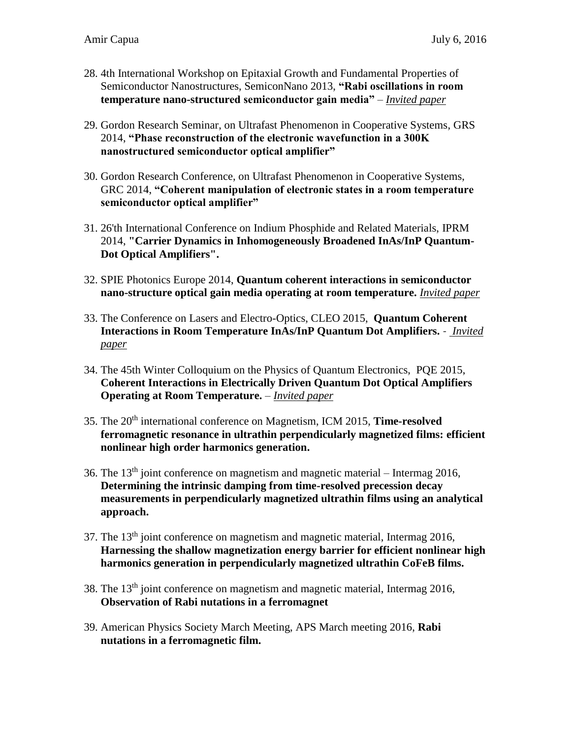- 28. 4th International Workshop on Epitaxial Growth and Fundamental Properties of Semiconductor Nanostructures, SemiconNano 2013, **"Rabi oscillations in room temperature nano-structured semiconductor gain media"** – *Invited paper*
- 29. Gordon Research Seminar, on Ultrafast Phenomenon in Cooperative Systems, GRS 2014, **"Phase reconstruction of the electronic wavefunction in a 300K nanostructured semiconductor optical amplifier"**
- 30. Gordon Research Conference, on Ultrafast Phenomenon in Cooperative Systems, GRC 2014, **"Coherent manipulation of electronic states in a room temperature semiconductor optical amplifier"**
- 31. 26'th International Conference on Indium Phosphide and Related Materials, IPRM 2014, **"Carrier Dynamics in Inhomogeneously Broadened InAs/InP Quantum-Dot Optical Amplifiers".**
- 32. SPIE Photonics Europe 2014, **Quantum coherent interactions in semiconductor nano-structure optical gain media operating at room temperature.** *Invited paper*
- 33. The Conference on Lasers and Electro-Optics, CLEO 2015, **Quantum Coherent Interactions in Room Temperature InAs/InP Quantum Dot Amplifiers.** - *Invited paper*
- 34. The 45th Winter Colloquium on the Physics of Quantum Electronics, PQE 2015, **Coherent Interactions in Electrically Driven Quantum Dot Optical Amplifiers Operating at Room Temperature.** – *Invited paper*
- 35. The 20th international conference on Magnetism, ICM 2015, **Time-resolved ferromagnetic resonance in ultrathin perpendicularly magnetized films: efficient nonlinear high order harmonics generation.**
- 36. The  $13<sup>th</sup>$  joint conference on magnetism and magnetic material Intermag 2016, **Determining the intrinsic damping from time-resolved precession decay measurements in perpendicularly magnetized ultrathin films using an analytical approach.**
- 37. The 13th joint conference on magnetism and magnetic material, Intermag 2016, **Harnessing the shallow magnetization energy barrier for efficient nonlinear high harmonics generation in perpendicularly magnetized ultrathin CoFeB films.**
- 38. The 13th joint conference on magnetism and magnetic material, Intermag 2016, **Observation of Rabi nutations in a ferromagnet**
- 39. American Physics Society March Meeting, APS March meeting 2016, **Rabi nutations in a ferromagnetic film.**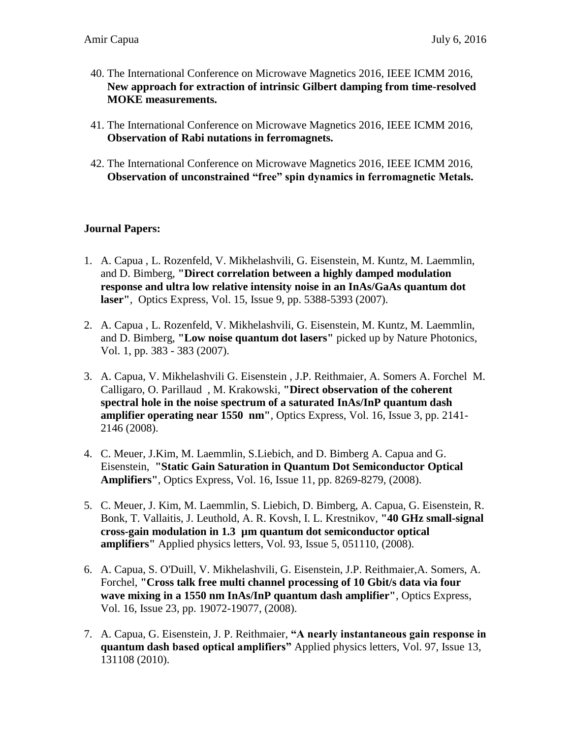- 40. The International Conference on Microwave Magnetics 2016, IEEE ICMM 2016, **New approach for extraction of intrinsic Gilbert damping from time-resolved MOKE measurements.**
- 41. The International Conference on Microwave Magnetics 2016, IEEE ICMM 2016, **Observation of Rabi nutations in ferromagnets.**
- 42. The International Conference on Microwave Magnetics 2016, IEEE ICMM 2016, **Observation of unconstrained "free" spin dynamics in ferromagnetic Metals.**

## **Journal Papers:**

- 1. A. Capua , L. Rozenfeld, V. Mikhelashvili, G. Eisenstein, M. Kuntz, M. Laemmlin, and D. Bimberg, **"Direct correlation between a highly damped modulation response and ultra low relative intensity noise in an InAs/GaAs quantum dot laser"***,* Optics Express, Vol. 15, Issue 9, pp. 5388-5393 (2007).
- 2. A. Capua , L. Rozenfeld, V. Mikhelashvili, G. Eisenstein, M. Kuntz, M. Laemmlin, and D. Bimberg, **"Low noise quantum dot lasers"** picked up by Nature Photonics, Vol. 1, pp. 383 - 383 (2007).
- 3. A. Capua, V. Mikhelashvili G. Eisenstein , J.P. Reithmaier, A. Somers A. Forchel M. Calligaro, O. Parillaud , M. Krakowski, **"Direct observation of the coherent spectral hole in the noise spectrum of a saturated InAs/InP quantum dash amplifier operating near 1550 nm"***,* Optics Express, Vol. 16, Issue 3, pp. 2141- 2146 (2008).
- 4. C. Meuer, J.Kim, M. Laemmlin, S.Liebich, and D. Bimberg A. Capua and G. Eisenstein, **"Static Gain Saturation in Quantum Dot Semiconductor Optical Amplifiers"**, Optics Express, Vol. 16, Issue 11, pp. 8269-8279, (2008).
- 5. C. Meuer, J. Kim, M. Laemmlin, S. Liebich, D. Bimberg, A. Capua, G. Eisenstein, R. Bonk, T. Vallaitis, J. Leuthold, A. R. Kovsh, I. L. Krestnikov, **"40 GHz small-signal cross-gain modulation in 1.3 µm quantum dot semiconductor optical amplifiers"** Applied physics letters, Vol. 93, Issue 5, 051110, (2008).
- 6. A. Capua, S. O'Duill, V. Mikhelashvili, G. Eisenstein, J.P. Reithmaier,A. Somers, A. Forchel, **"Cross talk free multi channel processing of 10 Gbit/s data via four wave mixing in a 1550 nm InAs/InP quantum dash amplifier"**, Optics Express, Vol. 16, Issue 23, pp. 19072-19077, (2008).
- 7. A. Capua, G. Eisenstein, J. P. Reithmaier, **"A nearly instantaneous gain response in quantum dash based optical amplifiers"** Applied physics letters, Vol. 97, Issue 13, 131108 (2010).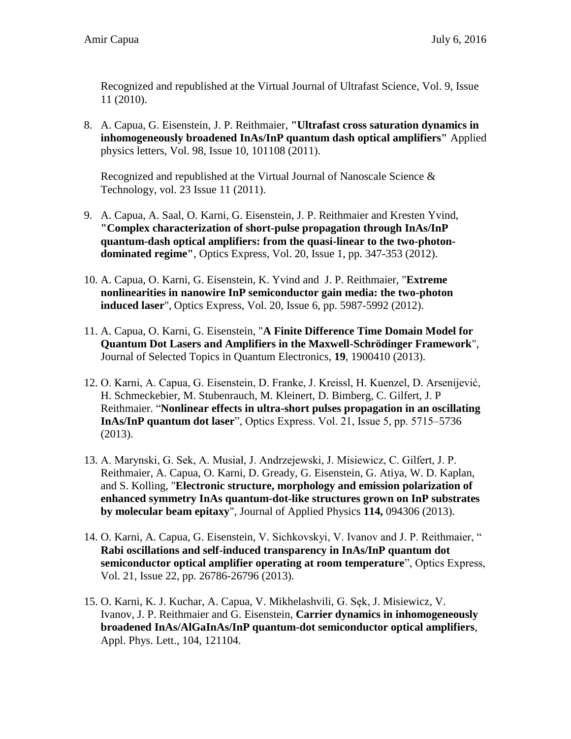Recognized and republished at the Virtual Journal of Ultrafast Science, Vol. 9, Issue 11 (2010).

8. A. Capua, G. Eisenstein, J. P. Reithmaier, **"Ultrafast cross saturation dynamics in inhomogeneously broadened InAs/InP quantum dash optical amplifiers"** Applied physics letters, Vol. 98, Issue 10, 101108 (2011).

Recognized and republished at the Virtual Journal of Nanoscale Science & Technology, vol. 23 Issue 11 (2011).

- 9. A. Capua, A. Saal, O. Karni, G. Eisenstein, J. P. Reithmaier and Kresten Yvind, **"Complex characterization of short-pulse propagation through InAs/InP quantum-dash optical amplifiers: from the quasi-linear to the two-photondominated regime"**, Optics Express, Vol. 20, Issue 1, pp. 347-353 (2012).
- 10. A. Capua, O. Karni, G. Eisenstein, K. Yvind and J. P. Reithmaier, "**Extreme nonlinearities in nanowire InP semiconductor gain media: the two-photon induced laser**", Optics Express, Vol. 20, Issue 6, pp. 5987-5992 (2012).
- 11. A. Capua, O. Karni, G. Eisenstein, "**A Finite Difference Time Domain Model for Quantum Dot Lasers and Amplifiers in the Maxwell-Schrödinger Framework**", Journal of Selected Topics in Quantum Electronics, **19**, 1900410 (2013).
- 12. O. Karni, A. Capua, G. Eisenstein, D. Franke, J. Kreissl, H. Kuenzel, D. Arsenijević, H. Schmeckebier, M. Stubenrauch, M. Kleinert, D. Bimberg, C. Gilfert, J. P Reithmaier. "**Nonlinear effects in ultra-short pulses propagation in an oscillating InAs/InP quantum dot laser**", Optics Express. Vol. 21, Issue 5, pp. 5715–5736 (2013).
- 13. A. Marynski, G. Sek, A. Musiał, J. Andrzejewski, J. Misiewicz, C. Gilfert, J. P. Reithmaier, A. Capua, O. Karni, D. Gready, G. Eisenstein, G. Atiya, W. D. Kaplan, and S. Kolling, "**Electronic structure, morphology and emission polarization of enhanced symmetry InAs quantum-dot-like structures grown on InP substrates by molecular beam epitaxy**", Journal of Applied Physics **114,** 094306 (2013).
- 14. O. Karni, A. Capua, G. Eisenstein, V. Sichkovskyi, V. Ivanov and J. P. Reithmaier, " **Rabi oscillations and self-induced transparency in InAs/InP quantum dot semiconductor optical amplifier operating at room temperature**", Optics Express, Vol. 21, Issue 22, pp. 26786-26796 (2013).
- 15. O. Karni, K. J. Kuchar, A. Capua, V. Mikhelashvili, G. Sęk, J. Misiewicz, V. Ivanov, J. P. Reithmaier and G. Eisenstein, **Carrier dynamics in inhomogeneously broadened InAs/AlGaInAs/InP quantum-dot semiconductor optical amplifiers**, Appl. Phys. Lett., 104, 121104.